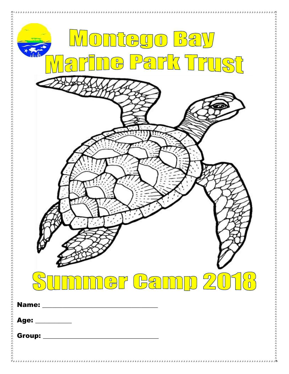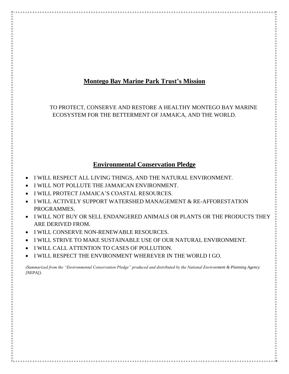## **Montego Bay Marine Park Trust's Mission**

TO PROTECT, CONSERVE AND RESTORE A HEALTHY MONTEGO BAY MARINE ECOSYSTEM FOR THE BETTERMENT OF JAMAICA, AND THE WORLD.

## **Environmental Conservation Pledge**

- I WILL RESPECT ALL LIVING THINGS, AND THE NATURAL ENVIRONMENT.
- I WILL NOT POLLUTE THE JAMAICAN ENVIRONMENT.
- I WILL PROTECT JAMAICA'S COASTAL RESOURCES.

- I WILL ACTIVELY SUPPORT WATERSHED MANAGEMENT & RE-AFFORESTATION PROGRAMMES.
- I WILL NOT BUY OR SELL ENDANGERED ANIMALS OR PLANTS OR THE PRODUCTS THEY ARE DERIVED FROM.
- I WILL CONSERVE NON-RENEWABLE RESOURCES.
- I WILL STRIVE TO MAKE SUSTAINABLE USE OF OUR NATURAL ENVIRONMENT.
- I WILL CALL ATTENTION TO CASES OF POLLUTION.
- I WILL RESPECT THE ENVIRONMENT WHEREVER IN THE WORLD I GO.

*(Summarized from the "Environmental Conservation Pledge" produced and distributed by the National Environment & Planning Agency [NEPA]).*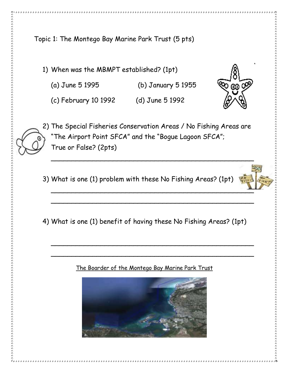Topic 1: The Montego Bay Marine Park Trust (5 pts)

1) When was the MBMPT established? (1pt)

(a) June 5 1995 (b) January 5 1955

(c) February 10 1992 (d) June 5 1992

2) The Special Fisheries Conservation Areas / No Fishing Areas are "The Airport Point SFCA" and the "Bogue Lagoon SFCA"; True or False? (2pts)

- 3) What is one (1) problem with these No Fishing Areas? (1pt)
- 4) What is one (1) benefit of having these No Fishing Areas? (1pt)

 $\sim$  . The contract of the contract of the contract of the contract of the contract of the contract of the contract of the contract of the contract of the contract of the contract of the contract of the contract of the co

\_\_\_\_\_\_\_\_\_\_\_\_\_\_\_\_\_\_\_\_\_\_\_\_\_\_\_\_\_\_\_\_\_\_\_\_\_\_\_\_\_\_\_\_\_\_\_\_\_

\_\_\_\_\_\_\_\_\_\_\_\_\_\_\_\_\_\_\_\_\_\_\_\_\_\_\_\_\_\_\_\_\_\_\_\_\_\_\_\_\_\_\_\_\_\_\_\_\_

## The Boarder of the Montego Bay Marine Park Trust







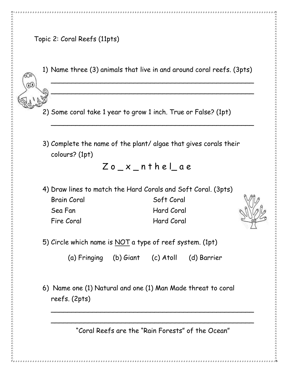1) Name three (3) animals that live in and around coral reefs. (3pts)

\_\_\_\_\_\_\_\_\_\_\_\_\_\_\_\_\_\_\_\_\_\_\_\_\_\_\_\_\_\_\_\_\_\_\_\_\_\_\_\_\_\_\_\_\_\_\_\_\_

\_\_\_\_\_\_\_\_\_\_\_\_\_\_\_\_\_\_\_\_\_\_\_\_\_\_\_\_\_\_\_\_\_\_\_\_\_\_\_\_\_\_\_\_\_\_\_\_\_

\_\_\_\_\_\_\_\_\_\_\_\_\_\_\_\_\_\_\_\_\_\_\_\_\_\_\_\_\_\_\_\_\_\_\_\_\_\_\_\_\_\_\_\_\_\_\_\_\_

- 2) Some coral take 1 year to grow 1 inch. True or False? (1pt)
- 3) Complete the name of the plant/ algae that gives corals their colours? (1pt)

 $Z$  o  $X$  n the lae

- 4) Draw lines to match the Hard Corals and Soft Coral. (3pts)
	- Brain Coral Soft Coral Sea Fan Hard Coral Fire Coral Hard Coral



5) Circle which name is NOT a type of reef system. (1pt)

(a) Fringing (b) Giant (c) Atoll (d) Barrier

6) Name one (1) Natural and one (1) Man Made threat to coral reefs. (2pts)

"Coral Reefs are the "Rain Forests" of the Ocean"

\_\_\_\_\_\_\_\_\_\_\_\_\_\_\_\_\_\_\_\_\_\_\_\_\_\_\_\_\_\_\_\_\_\_\_\_\_\_\_\_\_\_\_\_\_\_\_\_\_

\_\_\_\_\_\_\_\_\_\_\_\_\_\_\_\_\_\_\_\_\_\_\_\_\_\_\_\_\_\_\_\_\_\_\_\_\_\_\_\_\_\_\_\_\_\_\_\_\_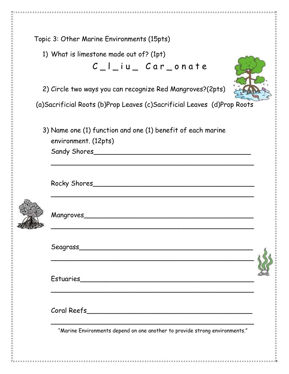| Topic 3: Other Marine Environments (15pts)                                                          |  |
|-----------------------------------------------------------------------------------------------------|--|
| 1) What is limestone made out of? (1pt)                                                             |  |
| $C_l$   iu Car onate                                                                                |  |
| 2) Circle two ways you can recognize Red Mangroves?(2pts)                                           |  |
| (a)Sacrificial Roots (b)Prop Leaves (c)Sacrificial Leaves (d)Prop Roots                             |  |
| 3) Name one (1) function and one (1) benefit of each marine<br>environment. (12pts)<br>Sandy Shores |  |
|                                                                                                     |  |
|                                                                                                     |  |
|                                                                                                     |  |
|                                                                                                     |  |
|                                                                                                     |  |
| "Marine Environments depend on one another to provide strong environments."                         |  |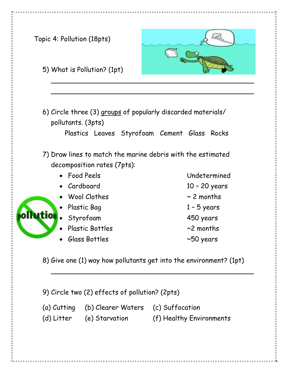

9) Circle two (2) effects of pollution? (2pts)

(a) Cutting (b) Clearer Waters (c) Suffocation

(d) Litter (e) Starvation (f) Healthy Environments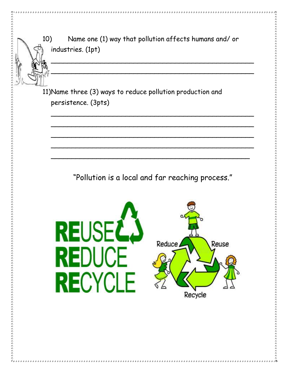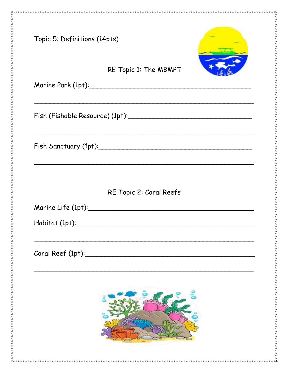| Topic 5: Definitions (14pts)           |                         |
|----------------------------------------|-------------------------|
|                                        | RE Topic 1: The MBMPT   |
|                                        |                         |
|                                        |                         |
|                                        | RE Topic 2: Coral Reefs |
| Marine Life $(1pt):$<br>Habitat (1pt): |                         |
| Coral Reef (1pt):                      |                         |
|                                        |                         |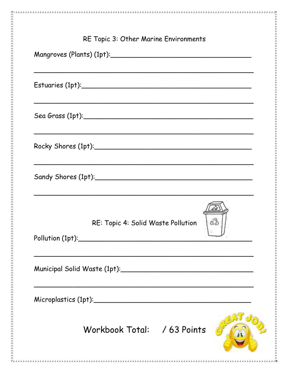| RE Topic 3: Other Marine Environments      |
|--------------------------------------------|
| Mangroves (Plants) (1pt):                  |
|                                            |
|                                            |
|                                            |
| Sandy Shores (1pt):_________               |
| డిపి<br>RE: Topic 4: Solid Waste Pollution |
|                                            |
| Microplastics (1pt):                       |
| Workbook Total: / 63 Points                |